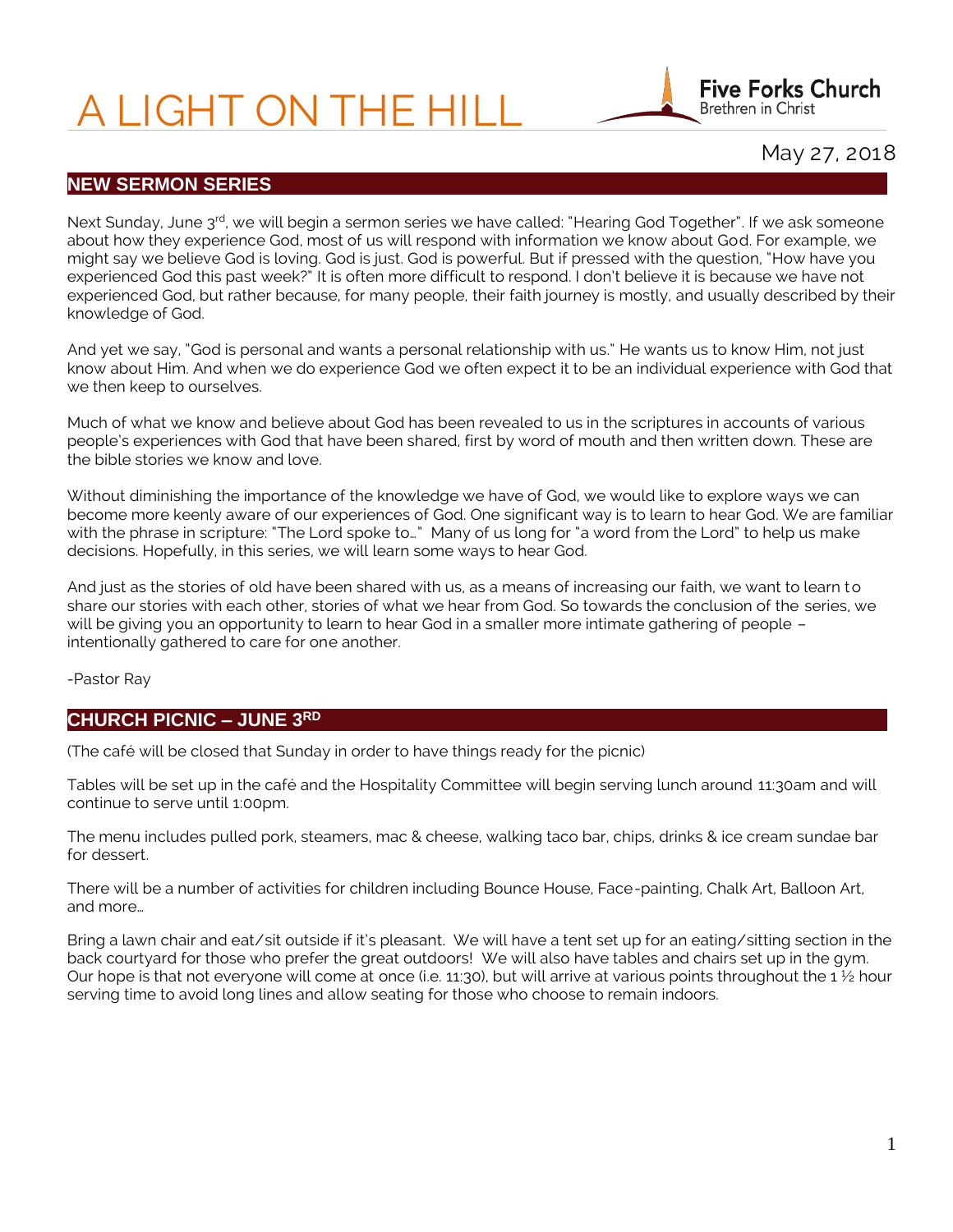# A LIGHT ON THE HILL



# May 27, 2018

#### **NEW SERMON SERIES**

Next Sunday, June 3<sup>rd</sup>, we will begin a sermon series we have called: "Hearing God Together". If we ask someone about how they experience God, most of us will respond with information we know about God. For example, we might say we believe God is loving. God is just. God is powerful. But if pressed with the question, "How have you experienced God this past week?" It is often more difficult to respond. I don't believe it is because we have not experienced God, but rather because, for many people, their faith journey is mostly, and usually described by their knowledge of God.

And yet we say, "God is personal and wants a personal relationship with us." He wants us to know Him, not just know about Him. And when we do experience God we often expect it to be an individual experience with God that we then keep to ourselves.

Much of what we know and believe about God has been revealed to us in the scriptures in accounts of various people's experiences with God that have been shared, first by word of mouth and then written down. These are the bible stories we know and love.

Without diminishing the importance of the knowledge we have of God, we would like to explore ways we can become more keenly aware of our experiences of God. One significant way is to learn to hear God. We are familiar with the phrase in scripture: "The Lord spoke to…" Many of us long for "a word from the Lord" to help us make decisions. Hopefully, in this series, we will learn some ways to hear God.

And just as the stories of old have been shared with us, as a means of increasing our faith, we want to learn to share our stories with each other, stories of what we hear from God. So towards the conclusion of the series, we will be giving you an opportunity to learn to hear God in a smaller more intimate gathering of people – intentionally gathered to care for one another.

-Pastor Ray

#### **CHURCH PICNIC – JUNE 3RD**

(The café will be closed that Sunday in order to have things ready for the picnic)

Tables will be set up in the café and the Hospitality Committee will begin serving lunch around 11:30am and will continue to serve until 1:00pm.

The menu includes pulled pork, steamers, mac & cheese, walking taco bar, chips, drinks & ice cream sundae bar for dessert.

There will be a number of activities for children including Bounce House, Face-painting, Chalk Art, Balloon Art, and more…

Bring a lawn chair and eat/sit outside if it's pleasant. We will have a tent set up for an eating/sitting section in the back courtyard for those who prefer the great outdoors! We will also have tables and chairs set up in the gym. Our hope is that not everyone will come at once (i.e. 11:30), but will arrive at various points throughout the 1  $\frac{1}{2}$  hour serving time to avoid long lines and allow seating for those who choose to remain indoors.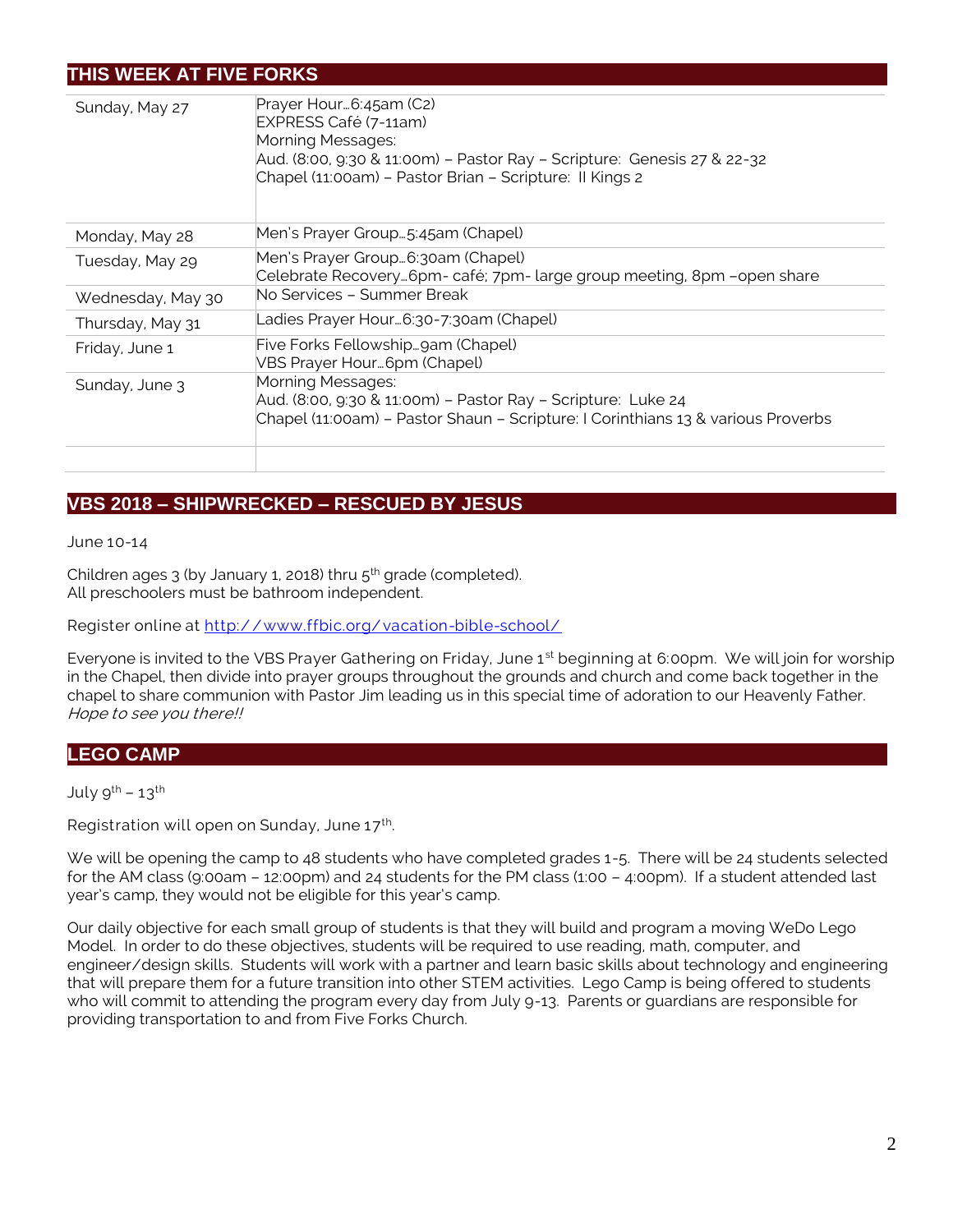# **THIS WEEK AT FIVE FORKS**

| Sunday, May 27    | Prayer Hour 6:45am (C2)<br>EXPRESS Café (7-11am)<br>Morning Messages:<br>Aud. (8:00, 9:30 & 11:00m) - Pastor Ray - Scripture: Genesis 27 & 22-32<br>Chapel (11:00am) - Pastor Brian - Scripture: Il Kings 2 |
|-------------------|-------------------------------------------------------------------------------------------------------------------------------------------------------------------------------------------------------------|
| Monday, May 28    | Men's Prayer Group…5:45am (Chapel)                                                                                                                                                                          |
| Tuesday, May 29   | Men's Prayer Group…6:30am (Chapel)<br>Celebrate Recovery6pm- café; 7pm- large group meeting, 8pm -open share                                                                                                |
| Wednesday, May 30 | No Services – Summer Break                                                                                                                                                                                  |
| Thursday, May 31  | Ladies Prayer Hour6:30-7:30am (Chapel)                                                                                                                                                                      |
| Friday, June 1    | Five Forks Fellowshipgam (Chapel)<br>VBS Prayer Hour 6pm (Chapel)                                                                                                                                           |
| Sunday, June 3    | Morning Messages:<br>Aud. (8:00, 9:30 & 11:00m) - Pastor Ray - Scripture: Luke 24<br>Chapel (11:00am) - Pastor Shaun - Scripture: I Corinthians 13 & various Proverbs                                       |

# **VBS 2018 – SHIPWRECKED – RESCUED BY JESUS**

June 10-14

Children ages  $3$  (by January 1, 2018) thru  $5<sup>th</sup>$  grade (completed). All preschoolers must be bathroom independent.

Register online at http://www.ffbic.org/vacation-bible-school/

Everyone is invited to the VBS Prayer Gathering on Friday, June 1<sup>st</sup> beginning at 6:00pm. We will join for worship in the Chapel, then divide into prayer groups throughout the grounds and church and come back together in the chapel to share communion with Pastor Jim leading us in this special time of adoration to our Heavenly Father. Hope to see you there!!

### **LEGO CAMP**

July  $9^{th}$  – 13<sup>th</sup>

Registration will open on Sunday, June  $17<sup>th</sup>$ . .

We will be opening the camp to 48 students who have completed grades 1-5. There will be 24 students selected for the AM class (9:00am – 12:00pm) and 24 students for the PM class (1:00 – 4:00pm). If a student attended last year's camp, they would not be eligible for this year's camp.

Our daily objective for each small group of students is that they will build and program a moving WeDo Lego Model. In order to do these objectives, students will be required to use reading, math, computer, and engineer/design skills. Students will work with a partner and learn basic skills about technology and engineering that will prepare them for a future transition into other STEM activities. Lego Camp is being offered to students who will commit to attending the program every day from July 9-13. Parents or guardians are responsible for providing transportation to and from Five Forks Church.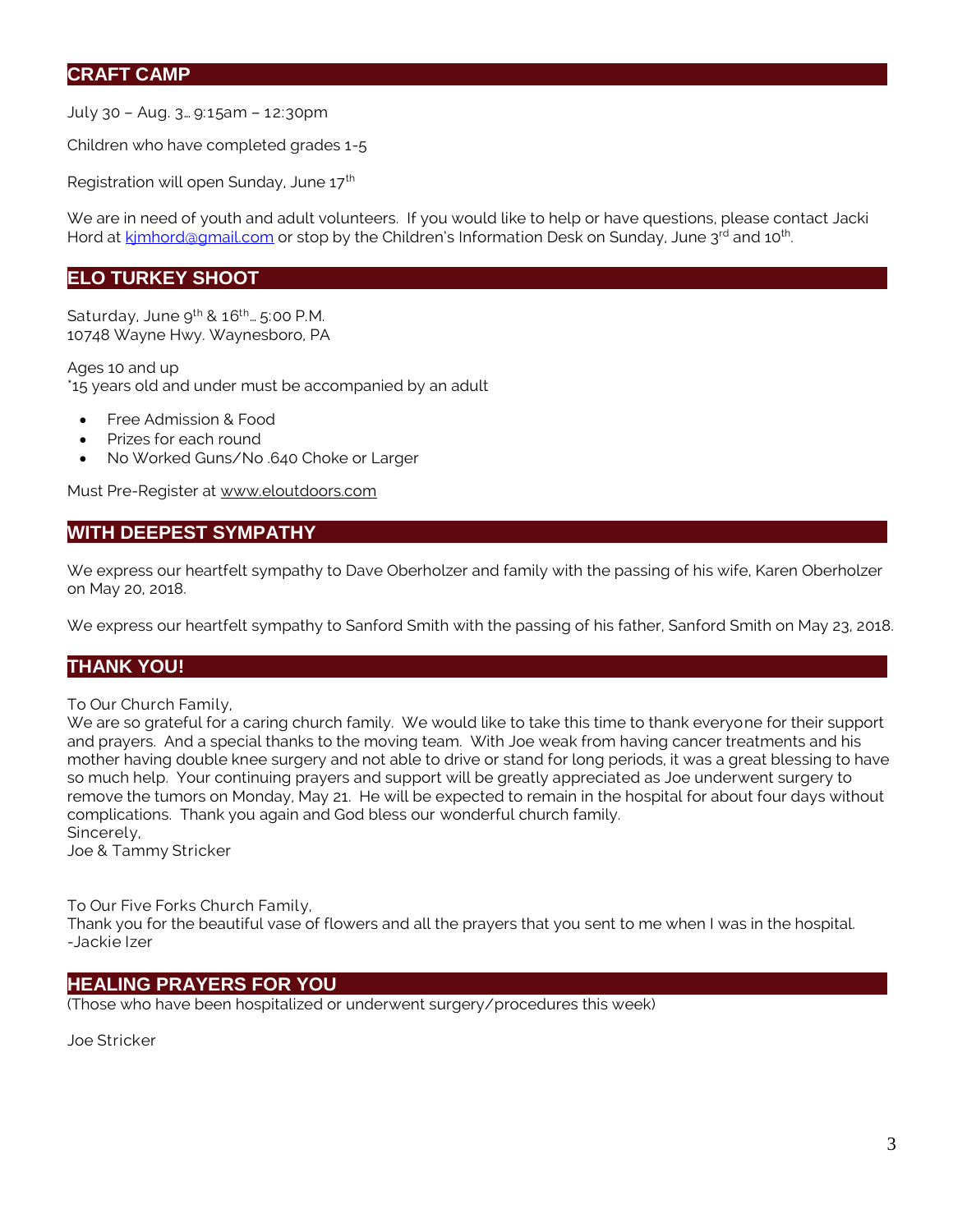### **CRAFT CAMP**

July 30 – Aug. 3… 9:15am – 12:30pm

Children who have completed grades 1-5

Registration will open Sunday, June 17<sup>th</sup>

We are in need of youth and adult volunteers. If you would like to help or have questions, please contact Jacki Hord at kimhord@gmail.com or stop by the Children's Information Desk on Sunday, June 3<sup>rd</sup> and 10<sup>th</sup>. .

### **ELO TURKEY SHOOT**

Saturday, June  $9^{th}$  &  $16^{th}$ ...  $5:00$  P.M. 10748 Wayne Hwy. Waynesboro, PA

Ages 10 and up \*15 years old and under must be accompanied by an adult

- Free Admission & Food
- Prizes for each round
- No Worked Guns/No .640 Choke or Larger

Must Pre-Register at [www.eloutdoors.com](http://www.eloutdoors.com/)

## **WITH DEEPEST SYMPATHY**

We express our heartfelt sympathy to Dave Oberholzer and family with the passing of his wife, Karen Oberholzer on May 20, 2018.

We express our heartfelt sympathy to Sanford Smith with the passing of his father, Sanford Smith on May 23, 2018.

### **THANK YOU!**

To Our Church Family,

We are so grateful for a caring church family. We would like to take this time to thank everyone for their support and prayers. And a special thanks to the moving team. With Joe weak from having cancer treatments and his mother having double knee surgery and not able to drive or stand for long periods, it was a great blessing to have so much help. Your continuing prayers and support will be greatly appreciated as Joe underwent surgery to remove the tumors on Monday, May 21. He will be expected to remain in the hospital for about four days without complications. Thank you again and God bless our wonderful church family. Sincerely,

Joe & Tammy Stricker

To Our Five Forks Church Family,

Thank you for the beautiful vase of flowers and all the prayers that you sent to me when I was in the hospital. -Jackie Izer

#### **HEALING PRAYERS FOR YOU**

(Those who have been hospitalized or underwent surgery/procedures this week)

Joe Stricker